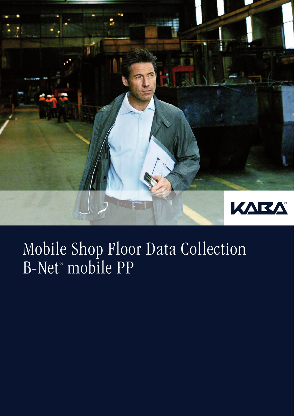

## Mobile Shop Floor Data Collection B-Net® mobile PP